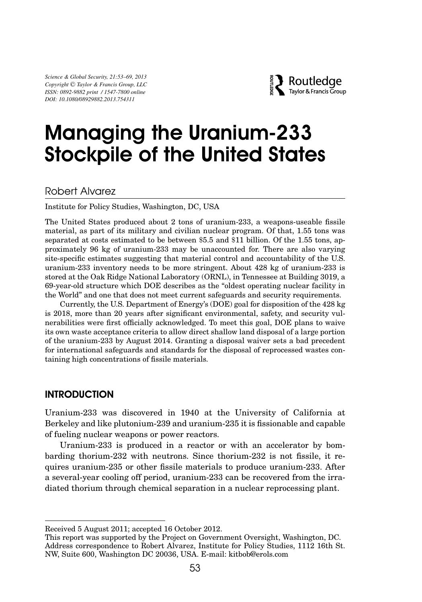*Science & Global Security, 21:53–69, 2013 Copyright* -C *Taylor & Francis Group, LLC ISSN: 0892-9882 print / 1547-7800 online DOI: 10.1080/08929882.2013.754311*



# Managing the Uranium-233 Stockpile of the United States

# Robert Alvarez

Institute for Policy Studies, Washington, DC, USA

The United States produced about 2 tons of uranium-233, a weapons-useable fissile material, as part of its military and civilian nuclear program. Of that, 1.55 tons was separated at costs estimated to be between \$5.5 and \$11 billion. Of the 1.55 tons, approximately 96 kg of uranium-233 may be unaccounted for. There are also varying site-specific estimates suggesting that material control and accountability of the U.S. uranium-233 inventory needs to be more stringent. About 428 kg of uranium-233 is stored at the Oak Ridge National Laboratory (ORNL), in Tennessee at Building 3019, a 69-year-old structure which DOE describes as the "oldest operating nuclear facility in the World" and one that does not meet current safeguards and security requirements.

Currently, the U.S. Department of Energy's (DOE) goal for disposition of the 428 kg is 2018, more than 20 years after significant environmental, safety, and security vulnerabilities were first officially acknowledged. To meet this goal, DOE plans to waive its own waste acceptance criteria to allow direct shallow land disposal of a large portion of the uranium-233 by August 2014. Granting a disposal waiver sets a bad precedent for international safeguards and standards for the disposal of reprocessed wastes containing high concentrations of fissile materials.

## INTRODUCTION

Uranium-233 was discovered in 1940 at the University of California at Berkeley and like plutonium-239 and uranium-235 it is fissionable and capable of fueling nuclear weapons or power reactors.

Uranium-233 is produced in a reactor or with an accelerator by bombarding thorium-232 with neutrons. Since thorium-232 is not fissile, it requires uranium-235 or other fissile materials to produce uranium-233. After a several-year cooling off period, uranium-233 can be recovered from the irradiated thorium through chemical separation in a nuclear reprocessing plant.

Received 5 August 2011; accepted 16 October 2012.

This report was supported by the Project on Government Oversight, Washington, DC. Address correspondence to Robert Alvarez, Institute for Policy Studies, 1112 16th St. NW, Suite 600, Washington DC 20036, USA. E-mail: kitbob@erols.com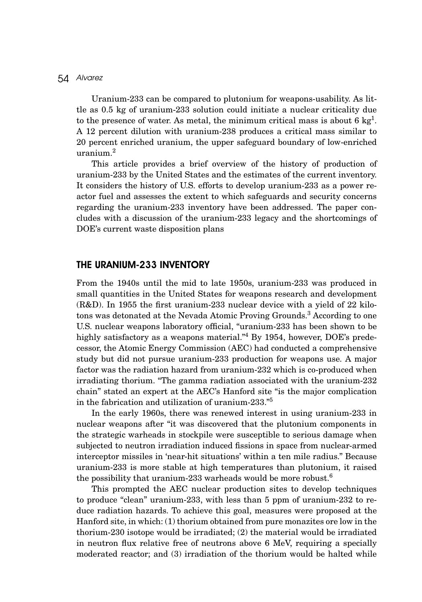Uranium-233 can be compared to plutonium for weapons-usability. As little as 0.5 kg of uranium-233 solution could initiate a nuclear criticality due to the presence of water. As metal, the minimum critical mass is about 6  $kg<sup>1</sup>$ . A 12 percent dilution with uranium-238 produces a critical mass similar to 20 percent enriched uranium, the upper safeguard boundary of low-enriched uranium.2

This article provides a brief overview of the history of production of uranium-233 by the United States and the estimates of the current inventory. It considers the history of U.S. efforts to develop uranium-233 as a power reactor fuel and assesses the extent to which safeguards and security concerns regarding the uranium-233 inventory have been addressed. The paper concludes with a discussion of the uranium-233 legacy and the shortcomings of DOE's current waste disposition plans

## THE URANIUM-233 INVENTORY

From the 1940s until the mid to late 1950s, uranium-233 was produced in small quantities in the United States for weapons research and development (R&D). In 1955 the first uranium-233 nuclear device with a yield of 22 kilotons was detonated at the Nevada Atomic Proving Grounds.3 According to one U.S. nuclear weapons laboratory official, "uranium-233 has been shown to be highly satisfactory as a weapons material.<sup>"4</sup> By 1954, however, DOE's predecessor, the Atomic Energy Commission (AEC) had conducted a comprehensive study but did not pursue uranium-233 production for weapons use. A major factor was the radiation hazard from uranium-232 which is co-produced when irradiating thorium. "The gamma radiation associated with the uranium-232 chain" stated an expert at the AEC's Hanford site "is the major complication in the fabrication and utilization of uranium-233."<sup>5</sup>

In the early 1960s, there was renewed interest in using uranium-233 in nuclear weapons after "it was discovered that the plutonium components in the strategic warheads in stockpile were susceptible to serious damage when subjected to neutron irradiation induced fissions in space from nuclear-armed interceptor missiles in 'near-hit situations' within a ten mile radius." Because uranium-233 is more stable at high temperatures than plutonium, it raised the possibility that uranium-233 warheads would be more robust.<sup>6</sup>

This prompted the AEC nuclear production sites to develop techniques to produce "clean" uranium-233, with less than 5 ppm of uranium-232 to reduce radiation hazards. To achieve this goal, measures were proposed at the Hanford site, in which: (1) thorium obtained from pure monazites ore low in the thorium-230 isotope would be irradiated; (2) the material would be irradiated in neutron flux relative free of neutrons above 6 MeV, requiring a specially moderated reactor; and (3) irradiation of the thorium would be halted while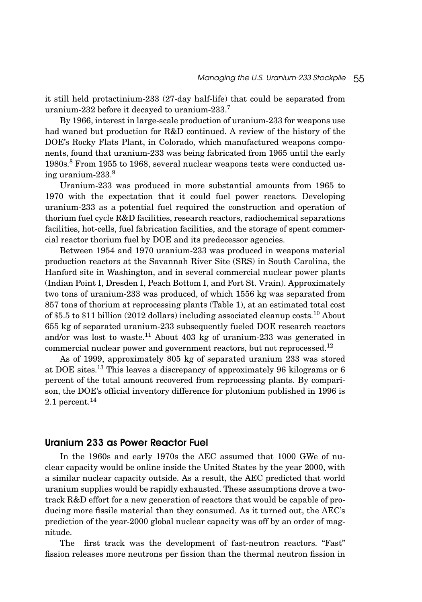it still held protactinium-233 (27-day half-life) that could be separated from uranium-232 before it decayed to uranium-233.<sup>7</sup>

By 1966, interest in large-scale production of uranium-233 for weapons use had waned but production for R&D continued. A review of the history of the DOE's Rocky Flats Plant, in Colorado, which manufactured weapons components, found that uranium-233 was being fabricated from 1965 until the early 1980s.<sup>8</sup> From 1955 to 1968, several nuclear weapons tests were conducted using uranium-233.<sup>9</sup>

Uranium-233 was produced in more substantial amounts from 1965 to 1970 with the expectation that it could fuel power reactors. Developing uranium-233 as a potential fuel required the construction and operation of thorium fuel cycle R&D facilities, research reactors, radiochemical separations facilities, hot-cells, fuel fabrication facilities, and the storage of spent commercial reactor thorium fuel by DOE and its predecessor agencies.

Between 1954 and 1970 uranium-233 was produced in weapons material production reactors at the Savannah River Site (SRS) in South Carolina, the Hanford site in Washington, and in several commercial nuclear power plants (Indian Point I, Dresden I, Peach Bottom I, and Fort St. Vrain). Approximately two tons of uranium-233 was produced, of which 1556 kg was separated from 857 tons of thorium at reprocessing plants (Table 1), at an estimated total cost of \$5.5 to \$11 billion (2012 dollars) including associated cleanup costs.<sup>10</sup> About 655 kg of separated uranium-233 subsequently fueled DOE research reactors and/or was lost to waste.<sup>11</sup> About 403 kg of uranium-233 was generated in commercial nuclear power and government reactors, but not reprocessed.<sup>12</sup>

As of 1999, approximately 805 kg of separated uranium 233 was stored at DOE sites.<sup>13</sup> This leaves a discrepancy of approximately 96 kilograms or 6 percent of the total amount recovered from reprocessing plants. By comparison, the DOE's official inventory difference for plutonium published in 1996 is 2.1 percent. $14$ 

## Uranium 233 as Power Reactor Fuel

In the 1960s and early 1970s the AEC assumed that 1000 GWe of nuclear capacity would be online inside the United States by the year 2000, with a similar nuclear capacity outside. As a result, the AEC predicted that world uranium supplies would be rapidly exhausted. These assumptions drove a twotrack R&D effort for a new generation of reactors that would be capable of producing more fissile material than they consumed. As it turned out, the AEC's prediction of the year-2000 global nuclear capacity was off by an order of magnitude.

The first track was the development of fast-neutron reactors. "Fast" fission releases more neutrons per fission than the thermal neutron fission in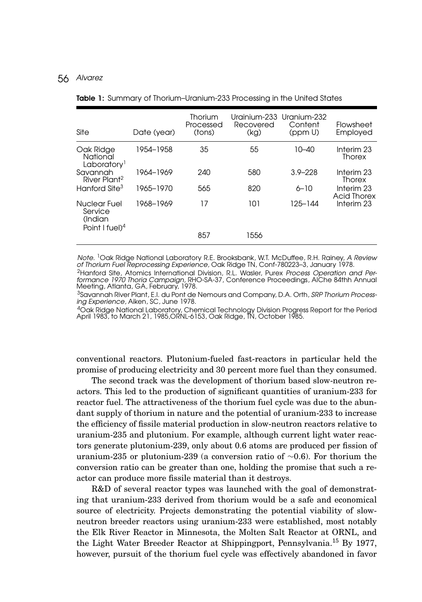| Site                                                             | Date (year) | Thorium<br>Processed<br>(tons) | Urainium-233 Uranium-232<br>Recovered<br>(kg) | Content<br>(ppm U) | Flowsheet<br>Employed                                                |
|------------------------------------------------------------------|-------------|--------------------------------|-----------------------------------------------|--------------------|----------------------------------------------------------------------|
| Oak Ridge<br>National<br>Laboratory <sup>1</sup>                 | 1954-1958   | 35                             | 55                                            | 10–40              | Interim 23<br>Thorex                                                 |
| Savannah<br>River Plant <sup>2</sup>                             | 1964-1969   | 240                            | 580                                           | $3.9 - 228$        | Interim <sub>23</sub><br><b>Thorex</b>                               |
| Hanford Site <sup>3</sup>                                        | 1965-1970   | 565                            | 820                                           | $6 - 10$           | Interim <sub>23</sub><br><b>Acid Thorex</b><br>Interim <sub>23</sub> |
| Nuclear Fuel<br>Service<br>(Indian<br>Point I fuel) <sup>4</sup> | 1968-1969   | 17                             | 101                                           | 125-144            |                                                                      |
|                                                                  |             | 857                            | 1556                                          |                    |                                                                      |

Table 1: Summary of Thorium–Uranium-233 Processing in the United States

Note. <sup>1</sup>Oak Ridge National Laboratory R.E. Brooksbank, W.T. McDuffee, R.H. Rainey, A Review of Thorium Fuel Reprocessing Experience, Oak Ridge TN, Conf-780223–3, January 1978.

<sup>2</sup>Hanford Site, Atomics International Division, R.L. Wasler, Purex Process Operation and Performance 1970 Thoria Campaign, RHO-SA-37, Conference Proceedings, AIChe 84thh Annual Meeting, Atlanta, GA, February, 1978.

<sup>3</sup>Savannah River Plant, E.I. du Pont de Nemours and Company, D.A. Orth, *SRP Thorium Process*ing Experience, Aiken, SC, June 1978.

4Oak Ridge National Laboratory, Chemical Technology Division Progress Report for the Period April 1983, to March 21, 1985, ORNL-6153, Oak Ridge, TN, October 1985.

conventional reactors. Plutonium-fueled fast-reactors in particular held the promise of producing electricity and 30 percent more fuel than they consumed.

The second track was the development of thorium based slow-neutron reactors. This led to the production of significant quantities of uranium-233 for reactor fuel. The attractiveness of the thorium fuel cycle was due to the abundant supply of thorium in nature and the potential of uranium-233 to increase the efficiency of fissile material production in slow-neutron reactors relative to uranium-235 and plutonium. For example, although current light water reactors generate plutonium-239, only about 0.6 atoms are produced per fission of uranium-235 or plutonium-239 (a conversion ratio of ∼0.6). For thorium the conversion ratio can be greater than one, holding the promise that such a reactor can produce more fissile material than it destroys.

R&D of several reactor types was launched with the goal of demonstrating that uranium-233 derived from thorium would be a safe and economical source of electricity. Projects demonstrating the potential viability of slowneutron breeder reactors using uranium-233 were established, most notably the Elk River Reactor in Minnesota, the Molten Salt Reactor at ORNL, and the Light Water Breeder Reactor at Shippingport, Pennsylvania.15 By 1977, however, pursuit of the thorium fuel cycle was effectively abandoned in favor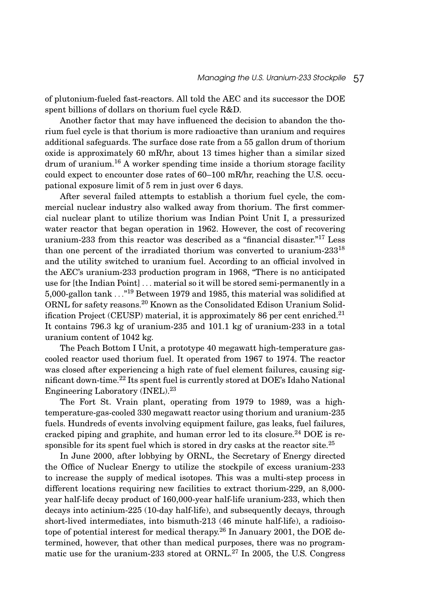of plutonium-fueled fast-reactors. All told the AEC and its successor the DOE spent billions of dollars on thorium fuel cycle R&D.

Another factor that may have influenced the decision to abandon the thorium fuel cycle is that thorium is more radioactive than uranium and requires additional safeguards. The surface dose rate from a 55 gallon drum of thorium oxide is approximately 60 mR/hr, about 13 times higher than a similar sized  $d$ rum of uranium.<sup>16</sup> A worker spending time inside a thorium storage facility could expect to encounter dose rates of 60–100 mR/hr, reaching the U.S. occupational exposure limit of 5 rem in just over 6 days.

After several failed attempts to establish a thorium fuel cycle, the commercial nuclear industry also walked away from thorium. The first commercial nuclear plant to utilize thorium was Indian Point Unit I, a pressurized water reactor that began operation in 1962. However, the cost of recovering uranium-233 from this reactor was described as a "financial disaster."<sup>17</sup> Less than one percent of the irradiated thorium was converted to uranium- $233^{18}$ and the utility switched to uranium fuel. According to an official involved in the AEC's uranium-233 production program in 1968, "There is no anticipated use for [the Indian Point] *...* material so it will be stored semi-permanently in a 5,000-gallon tank *...*"<sup>19</sup> Between 1979 and 1985, this material was solidified at ORNL for safety reasons.<sup>20</sup> Known as the Consolidated Edison Uranium Solidification Project (CEUSP) material, it is approximately 86 per cent enriched.<sup>21</sup> It contains 796.3 kg of uranium-235 and 101.1 kg of uranium-233 in a total uranium content of 1042 kg.

The Peach Bottom I Unit, a prototype 40 megawatt high-temperature gascooled reactor used thorium fuel. It operated from 1967 to 1974. The reactor was closed after experiencing a high rate of fuel element failures, causing significant down-time.22 Its spent fuel is currently stored at DOE's Idaho National Engineering Laboratory (INEL).<sup>23</sup>

The Fort St. Vrain plant, operating from 1979 to 1989, was a hightemperature-gas-cooled 330 megawatt reactor using thorium and uranium-235 fuels. Hundreds of events involving equipment failure, gas leaks, fuel failures, cracked piping and graphite, and human error led to its closure.<sup>24</sup> DOE is responsible for its spent fuel which is stored in dry casks at the reactor site.<sup>25</sup>

In June 2000, after lobbying by ORNL, the Secretary of Energy directed the Office of Nuclear Energy to utilize the stockpile of excess uranium-233 to increase the supply of medical isotopes. This was a multi-step process in different locations requiring new facilities to extract thorium-229, an 8,000 year half-life decay product of 160,000-year half-life uranium-233, which then decays into actinium-225 (10-day half-life), and subsequently decays, through short-lived intermediates, into bismuth-213 (46 minute half-life), a radioisotope of potential interest for medical therapy.<sup>26</sup> In January 2001, the DOE determined, however, that other than medical purposes, there was no programmatic use for the uranium-233 stored at ORNL.<sup>27</sup> In 2005, the U.S. Congress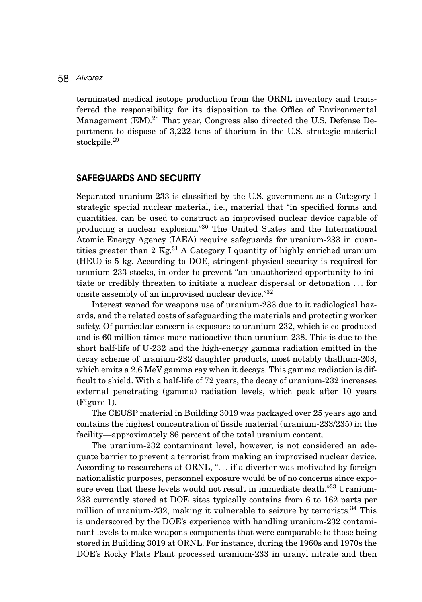terminated medical isotope production from the ORNL inventory and transferred the responsibility for its disposition to the Office of Environmental Management (EM).<sup>28</sup> That year, Congress also directed the U.S. Defense Department to dispose of 3,222 tons of thorium in the U.S. strategic material stockpile.<sup>29</sup>

#### SAFEGUARDS AND SECURITY

Separated uranium-233 is classified by the U.S. government as a Category I strategic special nuclear material, i.e., material that "in specified forms and quantities, can be used to construct an improvised nuclear device capable of producing a nuclear explosion."30 The United States and the International Atomic Energy Agency (IAEA) require safeguards for uranium-233 in quantities greater than 2  $\text{Kg}^{31}$  A Category I quantity of highly enriched uranium (HEU) is 5 kg. According to DOE, stringent physical security is required for uranium-233 stocks, in order to prevent "an unauthorized opportunity to initiate or credibly threaten to initiate a nuclear dispersal or detonation *...* for onsite assembly of an improvised nuclear device."32

Interest waned for weapons use of uranium-233 due to it radiological hazards, and the related costs of safeguarding the materials and protecting worker safety. Of particular concern is exposure to uranium-232, which is co-produced and is 60 million times more radioactive than uranium-238. This is due to the short half-life of U-232 and the high-energy gamma radiation emitted in the decay scheme of uranium-232 daughter products, most notably thallium-208, which emits a 2.6 MeV gamma ray when it decays. This gamma radiation is difficult to shield. With a half-life of 72 years, the decay of uranium-232 increases external penetrating (gamma) radiation levels, which peak after 10 years (Figure 1).

The CEUSP material in Building 3019 was packaged over 25 years ago and contains the highest concentration of fissile material (uranium-233/235) in the facility—approximately 86 percent of the total uranium content.

The uranium-232 contaminant level, however, is not considered an adequate barrier to prevent a terrorist from making an improvised nuclear device. According to researchers at ORNL, "*...* if a diverter was motivated by foreign nationalistic purposes, personnel exposure would be of no concerns since exposure even that these levels would not result in immediate death."<sup>33</sup> Uranium-233 currently stored at DOE sites typically contains from 6 to 162 parts per million of uranium-232, making it vulnerable to seizure by terrorists.34 This is underscored by the DOE's experience with handling uranium-232 contaminant levels to make weapons components that were comparable to those being stored in Building 3019 at ORNL. For instance, during the 1960s and 1970s the DOE's Rocky Flats Plant processed uranium-233 in uranyl nitrate and then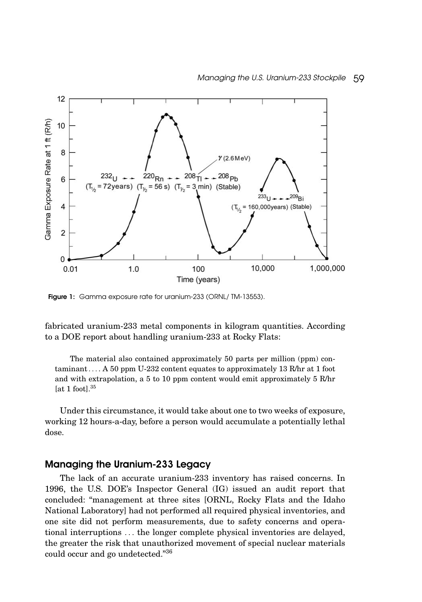

Figure 1: Gamma exposure rate for uranium-233 (ORNL/TM-13553).

fabricated uranium-233 metal components in kilogram quantities. According to a DOE report about handling uranium-233 at Rocky Flats:

The material also contained approximately 50 parts per million (ppm) contaminant*...* . A 50 ppm U-232 content equates to approximately 13 R/hr at 1 foot and with extrapolation, a 5 to 10 ppm content would emit approximately 5 R/hr [at 1 foot]. $35$ 

Under this circumstance, it would take about one to two weeks of exposure, working 12 hours-a-day, before a person would accumulate a potentially lethal dose.

## Managing the Uranium-233 Legacy

The lack of an accurate uranium-233 inventory has raised concerns. In 1996, the U.S. DOE's Inspector General (IG) issued an audit report that concluded: "management at three sites [ORNL, Rocky Flats and the Idaho National Laboratory] had not performed all required physical inventories, and one site did not perform measurements, due to safety concerns and operational interruptions *...* the longer complete physical inventories are delayed, the greater the risk that unauthorized movement of special nuclear materials could occur and go undetected."36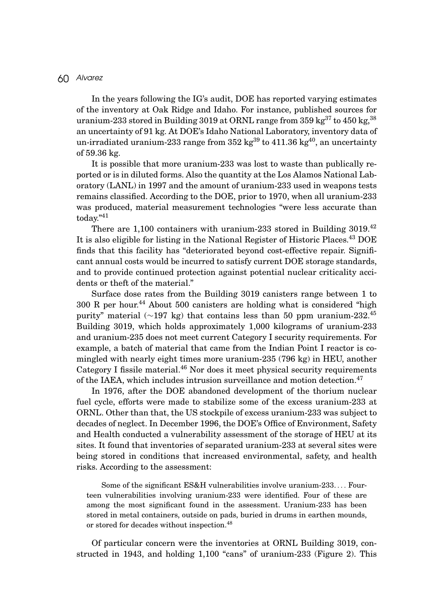In the years following the IG's audit, DOE has reported varying estimates of the inventory at Oak Ridge and Idaho. For instance, published sources for uranium-233 stored in Building 3019 at ORNL range from 359 kg<sup>37</sup> to 450 kg, <sup>38</sup> an uncertainty of 91 kg. At DOE's Idaho National Laboratory, inventory data of un-irradiated uranium-233 range from  $352 \text{ kg}^{39}$  to  $411.36 \text{ kg}^{40}$ , an uncertainty of 59.36 kg.

It is possible that more uranium-233 was lost to waste than publically reported or is in diluted forms. Also the quantity at the Los Alamos National Laboratory (LANL) in 1997 and the amount of uranium-233 used in weapons tests remains classified. According to the DOE, prior to 1970, when all uranium-233 was produced, material measurement technologies "were less accurate than today."<sup>41</sup>

There are 1,100 containers with uranium-233 stored in Building 3019.<sup>42</sup> It is also eligible for listing in the National Register of Historic Places.<sup>43</sup> DOE finds that this facility has "deteriorated beyond cost-effective repair. Significant annual costs would be incurred to satisfy current DOE storage standards, and to provide continued protection against potential nuclear criticality accidents or theft of the material."

Surface dose rates from the Building 3019 canisters range between 1 to  $300 \text{ R}$  per hour.<sup>44</sup> About 500 canisters are holding what is considered "high purity" material (∼197 kg) that contains less than 50 ppm uranium-232.45 Building 3019, which holds approximately 1,000 kilograms of uranium-233 and uranium-235 does not meet current Category I security requirements. For example, a batch of material that came from the Indian Point I reactor is comingled with nearly eight times more uranium-235 (796 kg) in HEU, another Category I fissile material.<sup>46</sup> Nor does it meet physical security requirements of the IAEA, which includes intrusion surveillance and motion detection.<sup>47</sup>

In 1976, after the DOE abandoned development of the thorium nuclear fuel cycle, efforts were made to stabilize some of the excess uranium-233 at ORNL. Other than that, the US stockpile of excess uranium-233 was subject to decades of neglect. In December 1996, the DOE's Office of Environment, Safety and Health conducted a vulnerability assessment of the storage of HEU at its sites. It found that inventories of separated uranium-233 at several sites were being stored in conditions that increased environmental, safety, and health risks. According to the assessment:

Some of the significant ES&H vulnerabilities involve uranium-233. *...* Fourteen vulnerabilities involving uranium-233 were identified. Four of these are among the most significant found in the assessment. Uranium-233 has been stored in metal containers, outside on pads, buried in drums in earthen mounds, or stored for decades without inspection.<sup>48</sup>

Of particular concern were the inventories at ORNL Building 3019, constructed in 1943, and holding 1,100 "cans" of uranium-233 (Figure 2). This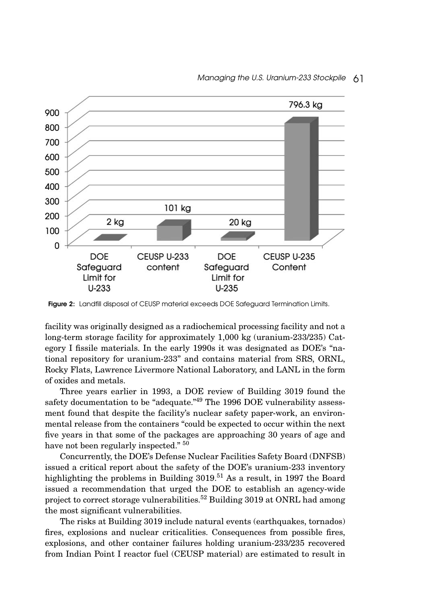

Figure 2: Landfill disposal of CEUSP material exceeds DOE Safeguard Termination Limits.

facility was originally designed as a radiochemical processing facility and not a long-term storage facility for approximately 1,000 kg (uranium-233/235) Category I fissile materials. In the early 1990s it was designated as DOE's "national repository for uranium-233" and contains material from SRS, ORNL, Rocky Flats, Lawrence Livermore National Laboratory, and LANL in the form of oxides and metals.

Three years earlier in 1993, a DOE review of Building 3019 found the safety documentation to be "adequate."<sup>49</sup> The 1996 DOE vulnerability assessment found that despite the facility's nuclear safety paper-work, an environmental release from the containers "could be expected to occur within the next five years in that some of the packages are approaching 30 years of age and have not been regularly inspected."  $50$ 

Concurrently, the DOE's Defense Nuclear Facilities Safety Board (DNFSB) issued a critical report about the safety of the DOE's uranium-233 inventory highlighting the problems in Building  $3019^{51}$  As a result, in 1997 the Board issued a recommendation that urged the DOE to establish an agency-wide project to correct storage vulnerabilities.<sup>52</sup> Building 3019 at ONRL had among the most significant vulnerabilities.

The risks at Building 3019 include natural events (earthquakes, tornados) fires, explosions and nuclear criticalities. Consequences from possible fires, explosions, and other container failures holding uranium-233/235 recovered from Indian Point I reactor fuel (CEUSP material) are estimated to result in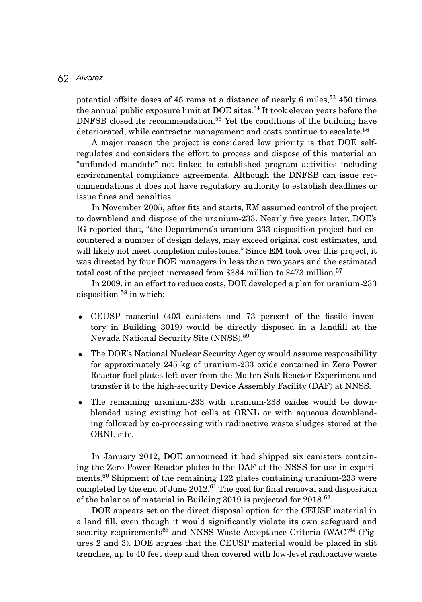potential offsite doses of 45 rems at a distance of nearly 6 miles,  $53\,450$  times the annual public exposure limit at DOE sites.<sup>54</sup> It took eleven years before the DNFSB closed its recommendation.<sup>55</sup> Yet the conditions of the building have deteriorated, while contractor management and costs continue to escalate.<sup>56</sup>

A major reason the project is considered low priority is that DOE selfregulates and considers the effort to process and dispose of this material an "unfunded mandate" not linked to established program activities including environmental compliance agreements. Although the DNFSB can issue recommendations it does not have regulatory authority to establish deadlines or issue fines and penalties.

In November 2005, after fits and starts, EM assumed control of the project to downblend and dispose of the uranium-233. Nearly five years later, DOE's IG reported that, "the Department's uranium-233 disposition project had encountered a number of design delays, may exceed original cost estimates, and will likely not meet completion milestones." Since EM took over this project, it was directed by four DOE managers in less than two years and the estimated total cost of the project increased from \$384 million to \$473 million.<sup>57</sup>

In 2009, in an effort to reduce costs, DOE developed a plan for uranium-233 disposition  $58$  in which:

- CEUSP material (403 canisters and 73 percent of the fissile inventory in Building 3019) would be directly disposed in a landfill at the Nevada National Security Site (NNSS).59
- The DOE's National Nuclear Security Agency would assume responsibility for approximately 245 kg of uranium-233 oxide contained in Zero Power Reactor fuel plates left over from the Molten Salt Reactor Experiment and transfer it to the high-security Device Assembly Facility (DAF) at NNSS.
- The remaining uranium-233 with uranium-238 oxides would be downblended using existing hot cells at ORNL or with aqueous downblending followed by co-processing with radioactive waste sludges stored at the ORNL site.

In January 2012, DOE announced it had shipped six canisters containing the Zero Power Reactor plates to the DAF at the NSSS for use in experiments.<sup>60</sup> Shipment of the remaining 122 plates containing uranium-233 were completed by the end of June 2012.<sup>61</sup> The goal for final removal and disposition of the balance of material in Building 3019 is projected for 2018.<sup>62</sup>

DOE appears set on the direct disposal option for the CEUSP material in a land fill, even though it would significantly violate its own safeguard and security requirements<sup>63</sup> and NNSS Waste Acceptance Criteria (WAC)<sup>64</sup> (Figures 2 and 3). DOE argues that the CEUSP material would be placed in slit trenches, up to 40 feet deep and then covered with low-level radioactive waste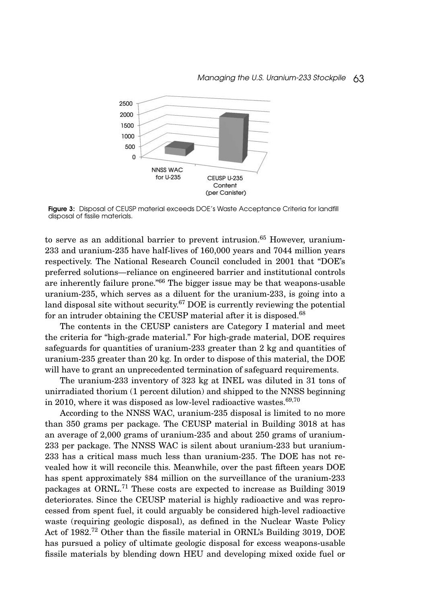

Figure 3: Disposal of CEUSP material exceeds DOE's Waste Acceptance Criteria for landfill disposal of fissile materials.

to serve as an additional barrier to prevent intrusion.<sup>65</sup> However, uranium-233 and uranium-235 have half-lives of 160,000 years and 7044 million years respectively. The National Research Council concluded in 2001 that "DOE's preferred solutions—reliance on engineered barrier and institutional controls are inherently failure prone."66 The bigger issue may be that weapons-usable uranium-235, which serves as a diluent for the uranium-233, is going into a land disposal site without security.<sup>67</sup> DOE is currently reviewing the potential for an intruder obtaining the CEUSP material after it is disposed.<sup>68</sup>

The contents in the CEUSP canisters are Category I material and meet the criteria for "high-grade material." For high-grade material, DOE requires safeguards for quantities of uranium-233 greater than 2 kg and quantities of uranium-235 greater than 20 kg. In order to dispose of this material, the DOE will have to grant an unprecedented termination of safeguard requirements.

The uranium-233 inventory of 323 kg at INEL was diluted in 31 tons of unirradiated thorium (1 percent dilution) and shipped to the NNSS beginning in 2010, where it was disposed as low-level radioactive wastes. $69,70$ 

According to the NNSS WAC, uranium-235 disposal is limited to no more than 350 grams per package. The CEUSP material in Building 3018 at has an average of 2,000 grams of uranium-235 and about 250 grams of uranium-233 per package. The NNSS WAC is silent about uranium-233 but uranium-233 has a critical mass much less than uranium-235. The DOE has not revealed how it will reconcile this. Meanwhile, over the past fifteen years DOE has spent approximately \$84 million on the surveillance of the uranium-233 packages at ORNL.<sup>71</sup> These costs are expected to increase as Building 3019 deteriorates. Since the CEUSP material is highly radioactive and was reprocessed from spent fuel, it could arguably be considered high-level radioactive waste (requiring geologic disposal), as defined in the Nuclear Waste Policy Act of 1982.<sup>72</sup> Other than the fissile material in ORNL's Building 3019, DOE has pursued a policy of ultimate geologic disposal for excess weapons-usable fissile materials by blending down HEU and developing mixed oxide fuel or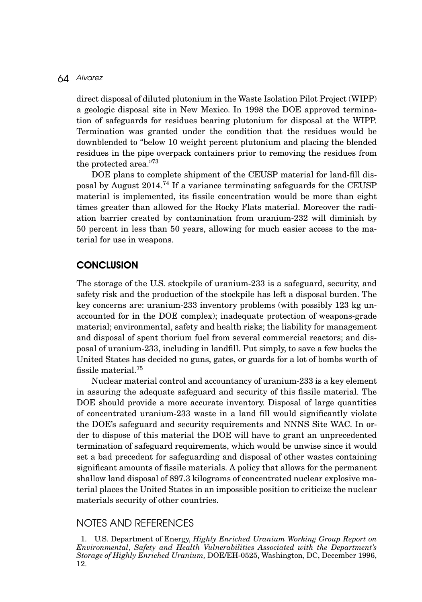direct disposal of diluted plutonium in the Waste Isolation Pilot Project (WIPP) a geologic disposal site in New Mexico. In 1998 the DOE approved termination of safeguards for residues bearing plutonium for disposal at the WIPP. Termination was granted under the condition that the residues would be downblended to "below 10 weight percent plutonium and placing the blended residues in the pipe overpack containers prior to removing the residues from the protected area."73

DOE plans to complete shipment of the CEUSP material for land-fill disposal by August 2014.<sup>74</sup> If a variance terminating safeguards for the CEUSP material is implemented, its fissile concentration would be more than eight times greater than allowed for the Rocky Flats material. Moreover the radiation barrier created by contamination from uranium-232 will diminish by 50 percent in less than 50 years, allowing for much easier access to the material for use in weapons.

## **CONCLUSION**

The storage of the U.S. stockpile of uranium-233 is a safeguard, security, and safety risk and the production of the stockpile has left a disposal burden. The key concerns are: uranium-233 inventory problems (with possibly 123 kg unaccounted for in the DOE complex); inadequate protection of weapons-grade material; environmental, safety and health risks; the liability for management and disposal of spent thorium fuel from several commercial reactors; and disposal of uranium-233, including in landfill. Put simply, to save a few bucks the United States has decided no guns, gates, or guards for a lot of bombs worth of fissile material.75

Nuclear material control and accountancy of uranium-233 is a key element in assuring the adequate safeguard and security of this fissile material. The DOE should provide a more accurate inventory. Disposal of large quantities of concentrated uranium-233 waste in a land fill would significantly violate the DOE's safeguard and security requirements and NNNS Site WAC. In order to dispose of this material the DOE will have to grant an unprecedented termination of safeguard requirements, which would be unwise since it would set a bad precedent for safeguarding and disposal of other wastes containing significant amounts of fissile materials. A policy that allows for the permanent shallow land disposal of 897.3 kilograms of concentrated nuclear explosive material places the United States in an impossible position to criticize the nuclear materials security of other countries.

## NOTES AND REFERENCES

1. U.S. Department of Energy, *Highly Enriched Uranium Working Group Report on Environmental*, *Safety and Health Vulnerabilities Associated with the Department's Storage of Highly Enriched Uranium,* DOE/EH-0525, Washington, DC, December 1996, 12.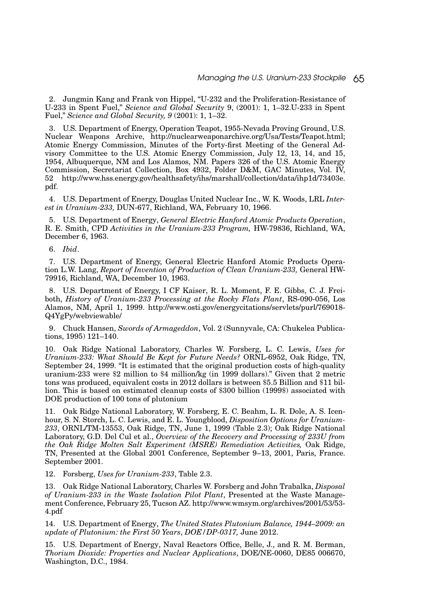2. Jungmin Kang and Frank von Hippel, "U-232 and the Proliferation-Resistance of U-233 in Spent Fuel," *Science and Global Security* 9, (2001): 1, 1–32.U-233 in Spent Fuel," *Science and Global Security, 9* (2001): 1, 1–32.

3. U.S. Department of Energy, Operation Teapot, 1955-Nevada Proving Ground, U.S. Nuclear Weapons Archive, http://nuclearweaponarchive.org/Usa/Tests/Teapot.html; Atomic Energy Commission, Minutes of the Forty-first Meeting of the General Advisory Committee to the U.S. Atomic Energy Commission, July 12, 13, 14, and 15, 1954, Albuquerque, NM and Los Alamos, NM. Papers 326 of the U.S. Atomic Energy Commission, Secretariat Collection, Box 4932, Folder D&M, GAC Minutes, Vol. IV, 52 http://www.hss.energy.gov/healthsafety/ihs/marshall/collection/data/ihp1d/73403e. pdf.

4. U.S. Department of Energy, Douglas United Nuclear Inc., W. K. Woods, LRL *Interest in Uranium-233,* DUN-677, Richland, WA, February 10, 1966.

5. U.S. Department of Energy, *General Electric Hanford Atomic Products Operation*, R. E. Smith, CPD *Activities in the Uranium-233 Program,* HW-79836, Richland, WA, December 6, 1963.

6. *Ibid*.

7. U.S. Department of Energy, General Electric Hanford Atomic Products Operation L.W. Lang, *Report of Invention of Production of Clean Uranium-233,* General HW-79916, Richland, WA, December 10, 1963.

8. U.S. Department of Energy, I CF Kaiser, R. L. Moment, F. E. Gibbs, C. J. Freiboth, *History of Uranium-233 Processing at the Rocky Flats Plant*, RS-090-056, Los Alamos, NM, April 1, 1999. http://www.osti.gov/energycitations/servlets/purl/769018- Q4YgPy/webviewable/

9. Chuck Hansen, *Swords of Armageddon*, Vol. 2 (Sunnyvale, CA: Chukelea Publications, 1995) 121–140.

10. Oak Ridge National Laboratory, Charles W. Forsberg, L. C. Lewis, *Uses for Uranium-233: What Should Be Kept for Future Needs?* ORNL-6952, Oak Ridge, TN, September 24, 1999. "It is estimated that the original production costs of high-quality uranium-233 were \$2 million to \$4 million/kg (in 1999 dollars)." Given that 2 metric tons was produced, equivalent costs in 2012 dollars is between \$5.5 Billion and \$11 billion. This is based on estimated cleanup costs of \$300 billion (1999\$) associated with DOE production of 100 tons of plutonium

11. Oak Ridge National Laboratory, W. Forsberg, E. C. Beahm, L. R. Dole, A. S. Icenhour, S. N. Storch, L. C. Lewis, and E. L. Youngblood, *Disposition Options for Uranium-233*, ORNL/TM-13553, Oak Ridge, TN, June 1, 1999 (Table 2.3); Oak Ridge National Laboratory, G.D. Del Cul et al., *Overview of the Recovery and Processing of 233U from the Oak Ridge Molten Salt Experiment (MSRE) Remediation Activities,* Oak Ridge, TN, Presented at the Global 2001 Conference, September 9–13, 2001, Paris, France. September 2001.

12. Forsberg, *Uses for Uranium-233*, Table 2.3.

13. Oak Ridge National Laboratory, Charles W. Forsberg and John Trabalka, *Disposal of Uranium-233 in the Waste Isolation Pilot Plant*, Presented at the Waste Management Conference, February 25, Tucson AZ. http://www.wmsym.org/archives/2001/53/53- 4.pdf

14. U.S. Department of Energy, *The United States Plutonium Balance, 1944–2009: an update of Plutonium: the First 50 Years*, *DOE/DP-0317,* June 2012.

15. U.S. Department of Energy, Naval Reactors Office, Belle, J., and R. M. Berman, *Thorium Dioxide: Properties and Nuclear Applications*, DOE/NE-0060, DE85 006670, Washington, D.C., 1984.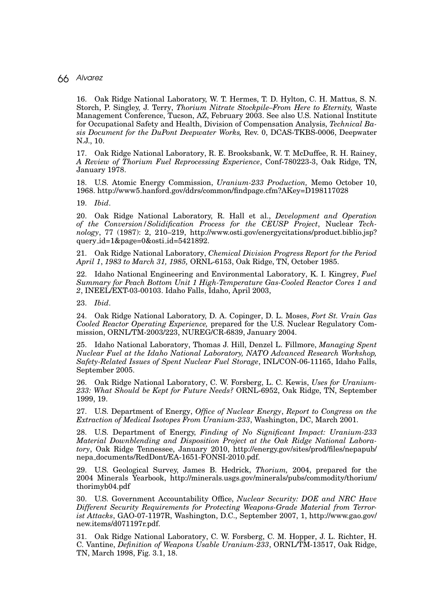16. Oak Ridge National Laboratory, W. T. Hermes, T. D. Hylton, C. H. Mattus, S. N. Storch, P. Singley, J. Terry, *Thorium Nitrate Stockpile–From Here to Eternity,* Waste Management Conference, Tucson, AZ, February 2003. See also U.S. National Institute for Occupational Safety and Health, Division of Compensation Analysis, *Technical Basis Document for the DuPont Deepwater Works,* Rev. 0, DCAS-TKBS-0006, Deepwater N.J., 10.

17. Oak Ridge National Laboratory, R. E. Brooksbank, W. T. McDuffee, R. H. Rainey, *A Review of Thorium Fuel Reprocessing Experience*, Conf-780223-3, Oak Ridge, TN, January 1978.

18. U.S. Atomic Energy Commission, *Uranium-233 Production,* Memo October 10, 1968. http://www5.hanford.gov/ddrs/common/findpage.cfm?AKey=D198117028

19. *Ibid*.

20. Oak Ridge National Laboratory, R. Hall et al., *Development and Operation of the Conversion/Solidification Process for the CEUSP Project*, Nuclear *Technology*, 77 (1987): 2, 210–219, http://www.osti.gov/energycitations/product.biblio.jsp? query id=1&page=0&osti id=5421892.

21. Oak Ridge National Laboratory, *Chemical Division Progress Report for the Period April 1*, *1983 to March 31, 1985,* ORNL-6153, Oak Ridge, TN, October 1985.

22. Idaho National Engineering and Environmental Laboratory, K. I. Kingrey, *Fuel Summary for Peach Bottom Unit 1 High-Temperature Gas-Cooled Reactor Cores 1 and 2*, INEEL/EXT-03-00103. Idaho Falls, Idaho, April 2003,

23. *Ibid*.

24. Oak Ridge National Laboratory, D. A. Copinger, D. L. Moses, *Fort St. Vrain Gas Cooled Reactor Operating Experience,* prepared for the U.S. Nuclear Regulatory Commission, ORNL/TM-2003/223, NUREG/CR-6839, January 2004.

25. Idaho National Laboratory, Thomas J. Hill, Denzel L. Fillmore, *Managing Spent Nuclear Fuel at the Idaho National Laboratory, NATO Advanced Research Workshop, Safety-Related Issues of Spent Nuclear Fuel Storage*, INL/CON-06-11165, Idaho Falls, September 2005.

26. Oak Ridge National Laboratory, C. W. Forsberg, L. C. Kewis, *Uses for Uranium-233: What Should be Kept for Future Needs?* ORNL-6952, Oak Ridge, TN, September 1999, 19.

27. U.S. Department of Energy, *Office of Nuclear Energy*, *Report to Congress on the Extraction of Medical Isotopes From Uranium-233*, Washington, DC, March 2001.

28. U.S. Department of Energy, *Finding of No Significant Impact: Uranium-233 Material Downblending and Disposition Project at the Oak Ridge National Laboratory*, Oak Ridge Tennessee, January 2010, http://energy.gov/sites/prod/files/nepapub/ nepa documents/RedDont/EA-1651-FONSI-2010.pdf.

29. U.S. Geological Survey, James B. Hedrick, *Thorium,* 2004, prepared for the 2004 Minerals Yearbook, http://minerals.usgs.gov/minerals/pubs/commodity/thorium/ thorimyb04.pdf

30. U.S. Government Accountability Office, *Nuclear Security: DOE and NRC Have Different Security Requirements for Protecting Weapons-Grade Material from Terrorist Attacks*, GAO-07-1197R, Washington, D.C., September 2007, 1, http://www.gao.gov/ new.items/d071197r.pdf.

31. Oak Ridge National Laboratory, C. W. Forsberg, C. M. Hopper, J. L. Richter, H. C. Vantine, *Definition of Weapons Usable Uranium-233*, ORNL/TM-13517, Oak Ridge, TN, March 1998, Fig. 3.1, 18.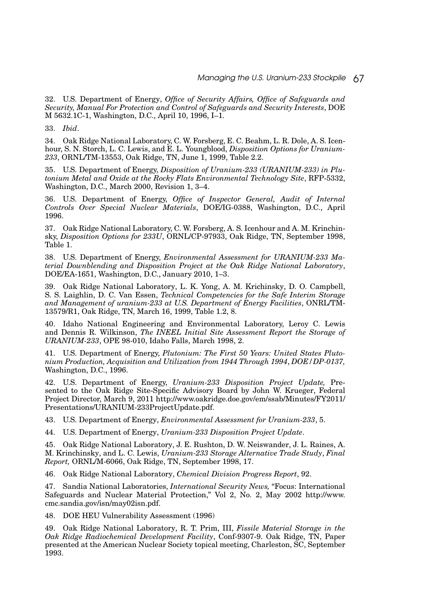32. U.S. Department of Energy, *Office of Security Affairs, Office of Safeguards and Security, Manual For Protection and Control of Safeguards and Security Interests*, DOE M 5632.1C-1, Washington, D.C., April 10, 1996, I–1.

33. *Ibid*.

34. Oak Ridge National Laboratory, C. W. Forsberg, E. C. Beahm, L. R. Dole, A. S. Icenhour, S. N. Storch, L. C. Lewis, and E. L. Youngblood, *Disposition Options for Uranium-233*, ORNL/TM-13553, Oak Ridge, TN, June 1, 1999, Table 2.2.

35. U.S. Department of Energy, *Disposition of Uranium-233 (URANIUM-233) in Plutonium Metal and Oxide at the Rocky Flats Environmental Technology Site*, RFP-5332, Washington, D.C., March 2000, Revision 1, 3–4.

36. U.S. Department of Energy, *Office of Inspector General, Audit of Internal Controls Over Special Nuclear Materials*, DOE/IG-0388, Washington, D.C., April 1996.

37. Oak Ridge National Laboratory, C. W. Forsberg, A. S. Icenhour and A. M. Krinchinsky, *Disposition Options for 233U*, ORNL/CP-97933, Oak Ridge, TN, September 1998, Table 1.

38. U.S. Department of Energy, *Environmental Assessment for URANIUM-233 Material Downblending and Disposition Project at the Oak Ridge National Laboratory*, DOE/EA-1651, Washington, D.C., January 2010, 1–3.

39. Oak Ridge National Laboratory, L. K. Yong, A. M. Krichinsky, D. O. Campbell, S. S. Laighlin, D. C. Van Essen, *Technical Competencies for the Safe Interim Storage and Management of uranium-233 at U.S. Department of Energy Facilities*, ONRL/TM-13579/R1, Oak Ridge, TN, March 16, 1999, Table 1.2, 8.

40. Idaho National Engineering and Environmental Laboratory, Leroy C. Lewis and Dennis R. Wilkinson, *The INEEL Initial Site Assessment Report the Storage of URANIUM-233*, OPE 98-010, Idaho Falls, March 1998, 2.

41. U.S. Department of Energy, *Plutonium: The First 50 Years: United States Plutonium Production, Acquisition and Utilization from 1944 Through 1994*, *DOE/DP-0137,* Washington, D.C., 1996.

42. U.S. Department of Energy, *Uranium-233 Disposition Project Update,* Presented to the Oak Ridge Site-Specific Advisory Board by John W. Krueger, Federal Project Director, March 9, 2011 http://www.oakridge.doe.gov/em/ssab/Minutes/FY2011/ Presentations/URANIUM-233ProjectUpdate.pdf.

43. U.S. Department of Energy, *Environmental Assessment for Uranium-233*, 5.

44. U.S. Department of Energy, *Uranium-233 Disposition Project Update*.

45. Oak Ridge National Laboratory, J. E. Rushton, D. W. Neiswander, J. L. Raines, A. M. Krinchinsky, and L. C. Lewis, *Uranium-233 Storage Alternative Trade Study*, *Final Report,* ORNL/M-6066, Oak Ridge, TN, September 1998, 17.

46. Oak Ridge National Laboratory, *Chemical Division Progress Report*, 92.

47. Sandia National Laboratories, *International Security News,* "Focus: International Safeguards and Nuclear Material Protection," Vol 2, No. 2, May 2002 http://www. cmc.sandia.gov/isn/may02isn.pdf.

48. DOE HEU Vulnerability Assessment (1996)

49. Oak Ridge National Laboratory, R. T. Prim, III, *Fissile Material Storage in the Oak Ridge Radiochemical Development Facility*, Conf-9307-9. Oak Ridge, TN, Paper presented at the American Nuclear Society topical meeting, Charleston, SC, September 1993.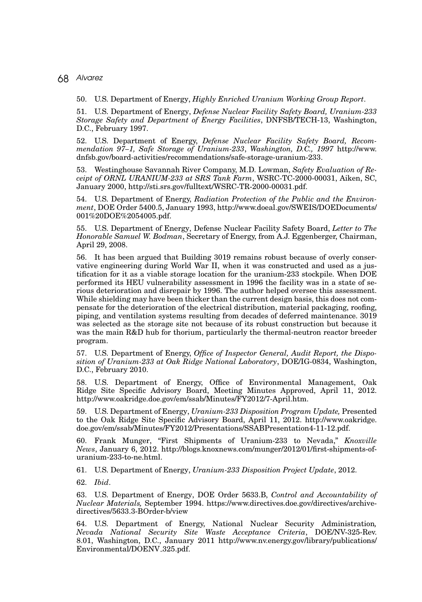50. U.S. Department of Energy, *Highly Enriched Uranium Working Group Report*.

51. U.S. Department of Energy, *Defense Nuclear Facility Safety Board, Uranium-233 Storage Safety and Department of Energy Facilities*, DNFSB/TECH-13, Washington, D.C., February 1997.

52. U.S. Department of Energy, *Defense Nuclear Facility Safety Board, Recommendation 97–1, Safe Storage of Uranium-233*, *Washington, D.C., 1997* http://www. dnfsb.gov/board-activities/recommendations/safe-storage-uranium-233.

53. Westinghouse Savannah River Company, M.D. Lowman, *Safety Evaluation of Receipt of ORNL URANIUM-233 at SRS Tank Farm*, WSRC-TC-2000-00031, Aiken, SC, January 2000, http://sti.srs.gov/fulltext/WSRC-TR-2000-00031.pdf.

54. U.S. Department of Energy, *Radiation Protection of the Public and the Environment*, DOE Order 5400.5, January 1993, http://www.doeal.gov/SWEIS/DOEDocuments/ 001%20DOE%2054005.pdf.

55. U.S. Department of Energy, Defense Nuclear Facility Safety Board, *Letter to The Honorable Samuel W. Bodman*, Secretary of Energy, from A.J. Eggenberger, Chairman, April 29, 2008.

56. It has been argued that Building 3019 remains robust because of overly conservative engineering during World War II, when it was constructed and used as a justification for it as a viable storage location for the uranium-233 stockpile. When DOE performed its HEU vulnerability assessment in 1996 the facility was in a state of serious deterioration and disrepair by 1996. The author helped oversee this assessment. While shielding may have been thicker than the current design basis, this does not compensate for the deterioration of the electrical distribution, material packaging, roofing, piping, and ventilation systems resulting from decades of deferred maintenance. 3019 was selected as the storage site not because of its robust construction but because it was the main R&D hub for thorium, particularly the thermal-neutron reactor breeder program.

57. U.S. Department of Energy, *Office of Inspector General, Audit Report, the Disposition of Uranium-233 at Oak Ridge National Laboratory*, DOE/IG-0834, Washington, D.C., February 2010.

58. U.S. Department of Energy, Office of Environmental Management, Oak Ridge Site Specific Advisory Board, Meeting Minutes Approved, April 11, 2012. http://www.oakridge.doe.gov/em/ssab/Minutes/FY2012/7-April.htm.

59. U.S. Department of Energy, *Uranium-233 Disposition Program Update,* Presented to the Oak Ridge Site Specific Advisory Board, April 11, 2012. http://www.oakridge. doe.gov/em/ssab/Minutes/FY2012/Presentations/SSABPresentation4-11-12.pdf.

60. Frank Munger, "First Shipments of Uranium-233 to Nevada," *Knoxville News*, January 6, 2012. http://blogs.knoxnews.com/munger/2012/01/first-shipments-ofuranium-233-to-ne.html.

61. U.S. Department of Energy, *Uranium-233 Disposition Project Update*, 2012.

62. *Ibid*.

63. U.S. Department of Energy, DOE Order 5633.B, *Control and Accountability of Nuclear Materials,* September 1994. https://www.directives.doe.gov/directives/archivedirectives/5633.3-BOrder-b/view

64. U.S. Department of Energy, National Nuclear Security Administration*, Nevada National Security Site Waste Acceptance Criteria*, DOE/NV-325-Rev. 8.01, Washington, D.C., January 2011 http://www.nv.energy.gov/library/publications/ Environmental/DOENV 325.pdf.